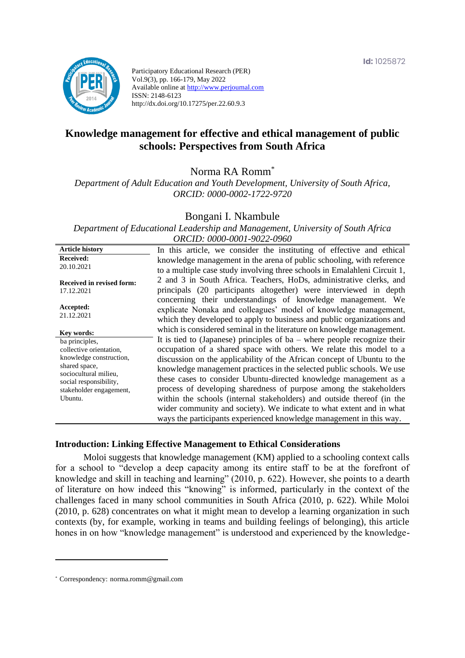

Participatory Educational Research (PER) Vol.9(3), pp. 166-179, May 2022 Available online at http://www.perjournal.com ISSN: 2148-6123 http://dx.doi.org/10.17275/per.22.60.9.3

# **Knowledge management for effective and ethical management of public schools: Perspectives from South Africa**

Norma RA Romm\*

*Department of Adult Education and Youth Development, University of South Africa, ORCID: 0000-0002-1722-9720*

#### Bongani I. Nkambule

*Department of Educational Leadership and Management, University of South Africa ORCID: 0000-0001-9022-0960*

| <b>Article history</b>                 | In this article, we consider the instituting of effective and ethical     |
|----------------------------------------|---------------------------------------------------------------------------|
| <b>Received:</b>                       | knowledge management in the arena of public schooling, with reference     |
| 20.10.2021                             | to a multiple case study involving three schools in Emalahleni Circuit 1, |
| <b>Received in revised form:</b>       | 2 and 3 in South Africa. Teachers, HoDs, administrative clerks, and       |
| 17.12.2021                             | principals (20 participants altogether) were interviewed in depth         |
|                                        | concerning their understandings of knowledge management. We               |
| Accepted:                              | explicate Nonaka and colleagues' model of knowledge management,           |
| 21.12.2021                             | which they developed to apply to business and public organizations and    |
| Key words:                             | which is considered seminal in the literature on knowledge management.    |
| ba principles,                         | It is tied to (Japanese) principles of ba – where people recognize their  |
| collective orientation,                | occupation of a shared space with others. We relate this model to a       |
| knowledge construction,                | discussion on the applicability of the African concept of Ubuntu to the   |
| shared space,<br>sociocultural milieu, | knowledge management practices in the selected public schools. We use     |
| social responsibility,                 | these cases to consider Ubuntu-directed knowledge management as a         |
| stakeholder engagement,                | process of developing sharedness of purpose among the stakeholders        |
| Ubuntu.                                | within the schools (internal stakeholders) and outside thereof (in the    |
|                                        | wider community and society). We indicate to what extent and in what      |
|                                        | ways the participants experienced knowledge management in this way.       |

#### **Introduction: Linking Effective Management to Ethical Considerations**

Moloi suggests that knowledge management (KM) applied to a schooling context calls for a school to "develop a deep capacity among its entire staff to be at the forefront of knowledge and skill in teaching and learning" (2010, p. 622). However, she points to a dearth of literature on how indeed this "knowing" is informed, particularly in the context of the challenges faced in many school communities in South Africa (2010, p. 622). While Moloi (2010, p. 628) concentrates on what it might mean to develop a learning organization in such contexts (by, for example, working in teams and building feelings of belonging), this article hones in on how "knowledge management" is understood and experienced by the knowledge-

<sup>\*</sup> [Correspondency:](mailto:Correspondency:) norma.romm@gmail.com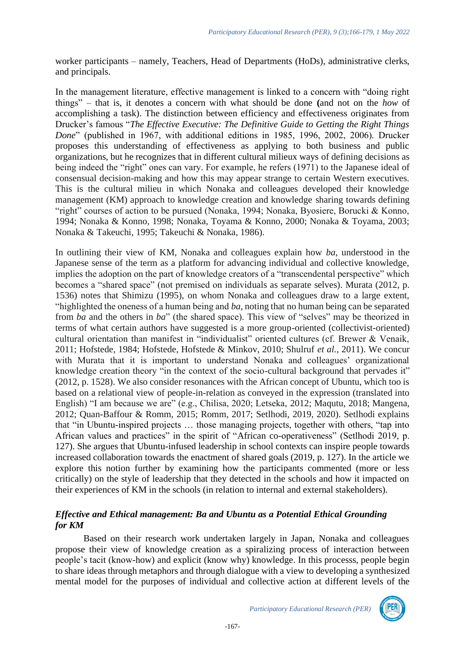worker participants – namely, Teachers, Head of Departments (HoDs), administrative clerks, and principals.

In the management literature, effective management is linked to a concern with "doing right things" – that is, it denotes a concern with what should be done **(**and not on the *how* of accomplishing a task). The distinction between efficiency and effectiveness originates from Drucker's famous "*The Effective Executive: The Definitive Guide to Getting the Right Things Done*" (published in 1967, with additional editions in 1985, 1996, 2002, 2006). Drucker proposes this understanding of effectiveness as applying to both business and public organizations, but he recognizes that in different cultural milieux ways of defining decisions as being indeed the "right" ones can vary. For example, he refers (1971) to the Japanese ideal of consensual decision-making and how this may appear strange to certain Western executives. This is the cultural milieu in which Nonaka and colleagues developed their knowledge management (KM) approach to knowledge creation and knowledge sharing towards defining "right" courses of action to be pursued (Nonaka, 1994; Nonaka, Byosiere, Borucki & Konno, 1994; Nonaka & Konno, 1998; Nonaka, Toyama & Konno, 2000; Nonaka & Toyama, 2003; Nonaka & Takeuchi, 1995; Takeuchi & Nonaka, 1986).

In outlining their view of KM, Nonaka and colleagues explain how *ba*, understood in the Japanese sense of the term as a platform for advancing individual and collective knowledge, implies the adoption on the part of knowledge creators of a "transcendental perspective" which becomes a "shared space" (not premised on individuals as separate selves). Murata (2012, p. 1536) notes that Shimizu (1995), on whom Nonaka and colleagues draw to a large extent, "highlighted the oneness of a human being and *ba*, noting that no human being can be separated from *ba* and the others in *ba*" (the shared space). This view of "selves" may be theorized in terms of what certain authors have suggested is a more group-oriented (collectivist-oriented) cultural orientation than manifest in "individualist" oriented cultures (cf. Brewer & Venaik, 2011; Hofstede, 1984; Hofstede, Hofstede & Minkov, 2010; Shulruf *et al.*, 2011). We concur with Murata that it is important to understand Nonaka and colleagues' organizational knowledge creation theory "in the context of the socio-cultural background that pervades it" (2012, p. 1528). We also consider resonances with the African concept of Ubuntu, which too is based on a relational view of people-in-relation as conveyed in the expression (translated into English) "I am because we are" (e.g., Chilisa, 2020; Letseka, 2012; Maqutu, 2018; Mangena, 2012; Quan-Baffour & Romm, 2015; Romm, 2017; Setlhodi, 2019, 2020). Setlhodi explains that "in Ubuntu-inspired projects … those managing projects, together with others, "tap into African values and practices" in the spirit of "African co-operativeness" (Setlhodi 2019, p. 127). She argues that Ubuntu-infused leadership in school contexts can inspire people towards increased collaboration towards the enactment of shared goals (2019, p. 127). In the article we explore this notion further by examining how the participants commented (more or less critically) on the style of leadership that they detected in the schools and how it impacted on their experiences of KM in the schools (in relation to internal and external stakeholders).

# *Effective and Ethical management: Ba and Ubuntu as a Potential Ethical Grounding for KM*

Based on their research work undertaken largely in Japan, Nonaka and colleagues propose their view of knowledge creation as a spiralizing process of interaction between people's tacit (know-how) and explicit (know why) knowledge. In this processs, people begin to share ideas through metaphors and through dialogue with a view to developing a synthesized mental model for the purposes of individual and collective action at different levels of the



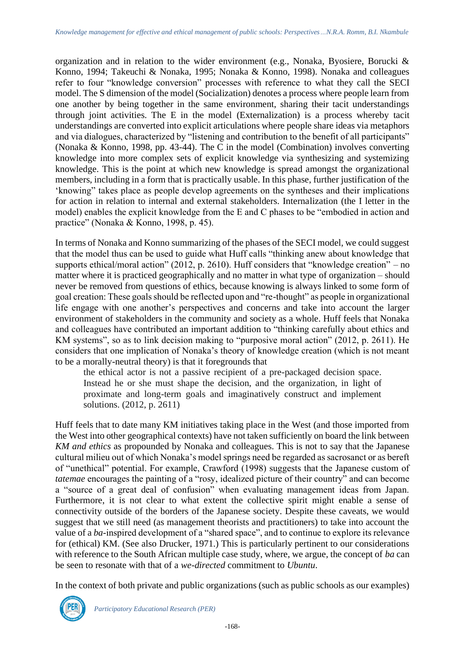organization and in relation to the wider environment (e.g., Nonaka, Byosiere, Borucki & Konno, 1994; Takeuchi & Nonaka, 1995; Nonaka & Konno, 1998). Nonaka and colleagues refer to four "knowledge conversion" processes with reference to what they call the SECI model. The S dimension of the model (Socialization) denotes a process where people learn from one another by being together in the same environment, sharing their tacit understandings through joint activities. The E in the model (Externalization) is a process whereby tacit understandings are converted into explicit articulations where people share ideas via metaphors and via dialogues, characterized by "listening and contribution to the benefit of all participants" (Nonaka & Konno, 1998, pp. 43-44). The C in the model (Combination) involves converting knowledge into more complex sets of explicit knowledge via synthesizing and systemizing knowledge. This is the point at which new knowledge is spread amongst the organizational members, including in a form that is practically usable. In this phase, further justification of the 'knowing" takes place as people develop agreements on the syntheses and their implications for action in relation to internal and external stakeholders. Internalization (the I letter in the model) enables the explicit knowledge from the E and C phases to be "embodied in action and practice" (Nonaka & Konno, 1998, p. 45).

In terms of Nonaka and Konno summarizing of the phases of the SECI model, we could suggest that the model thus can be used to guide what Huff calls "thinking anew about knowledge that supports ethical/moral action" (2012, p. 2610). Huff considers that "knowledge creation" – no matter where it is practiced geographically and no matter in what type of organization – should never be removed from questions of ethics, because knowing is always linked to some form of goal creation: These goals should be reflected upon and "re-thought" as people in organizational life engage with one another's perspectives and concerns and take into account the larger environment of stakeholders in the community and society as a whole. Huff feels that Nonaka and colleagues have contributed an important addition to "thinking carefully about ethics and KM systems", so as to link decision making to "purposive moral action" (2012, p. 2611). He considers that one implication of Nonaka's theory of knowledge creation (which is not meant to be a morally-neutral theory) is that it foregrounds that

the ethical actor is not a passive recipient of a pre-packaged decision space. Instead he or she must shape the decision, and the organization, in light of proximate and long-term goals and imaginatively construct and implement solutions. (2012, p. 2611)

Huff feels that to date many KM initiatives taking place in the West (and those imported from the West into other geographical contexts) have not taken sufficiently on board the link between *KM and ethics* as propounded by Nonaka and colleagues. This is not to say that the Japanese cultural milieu out of which Nonaka's model springs need be regarded as sacrosanct or as bereft of "unethical" potential. For example, Crawford (1998) suggests that the Japanese custom of *tatemae* encourages the painting of a "rosy, idealized picture of their country" and can become a "source of a great deal of confusion" when evaluating management ideas from Japan. Furthermore, it is not clear to what extent the collective spirit might enable a sense of connectivity outside of the borders of the Japanese society. Despite these caveats, we would suggest that we still need (as management theorists and practitioners) to take into account the value of a *ba*-inspired development of a "shared space", and to continue to explore its relevance for (ethical) KM. (See also Drucker, 1971.) This is particularly pertinent to our considerations with reference to the South African multiple case study, where, we argue, the concept of *ba* can be seen to resonate with that of a *we-directed* commitment to *Ubuntu*.

In the context of both private and public organizations (such as public schools as our examples)

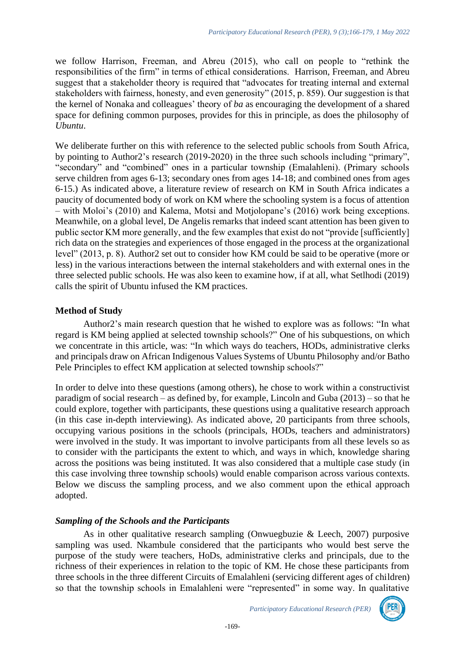we follow Harrison, Freeman, and Abreu (2015), who call on people to "rethink the responsibilities of the firm" in terms of ethical considerations. Harrison, Freeman, and Abreu suggest that a stakeholder theory is required that "advocates for treating internal and external stakeholders with fairness, honesty, and even generosity" (2015, p. 859). Our suggestion is that the kernel of Nonaka and colleagues' theory of *ba* as encouraging the development of a shared space for defining common purposes, provides for this in principle, as does the philosophy of *Ubuntu*.

We deliberate further on this with reference to the selected public schools from South Africa, by pointing to Author2's research (2019-2020) in the three such schools including "primary", "secondary" and "combined" ones in a particular township (Emalahleni). (Primary schools serve children from ages 6-13; secondary ones from ages 14-18; and combined ones from ages 6-15.) As indicated above, a literature review of research on KM in South Africa indicates a paucity of documented body of work on KM where the schooling system is a focus of attention – with Moloi's (2010) and Kalema, Motsi and Motjolopane's (2016) work being exceptions. Meanwhile, on a global level, De Angelis remarks that indeed scant attention has been given to public sector KM more generally, and the few examples that exist do not "provide [sufficiently] rich data on the strategies and experiences of those engaged in the process at the organizational level" (2013, p. 8). Author2 set out to consider how KM could be said to be operative (more or less) in the various interactions between the internal stakeholders and with external ones in the three selected public schools. He was also keen to examine how, if at all, what Setlhodi (2019) calls the spirit of Ubuntu infused the KM practices.

# **Method of Study**

Author2's main research question that he wished to explore was as follows: "In what regard is KM being applied at selected township schools?" One of his subquestions, on which we concentrate in this article, was: "In which ways do teachers, HODs, administrative clerks and principals draw on African Indigenous Values Systems of Ubuntu Philosophy and/or Batho Pele Principles to effect KM application at selected township schools?"

In order to delve into these questions (among others), he chose to work within a constructivist paradigm of social research – as defined by, for example, Lincoln and Guba (2013) – so that he could explore, together with participants, these questions using a qualitative research approach (in this case in-depth interviewing). As indicated above, 20 participants from three schools, occupying various positions in the schools (principals, HODs, teachers and administrators) were involved in the study. It was important to involve participants from all these levels so as to consider with the participants the extent to which, and ways in which, knowledge sharing across the positions was being instituted. It was also considered that a multiple case study (in this case involving three township schools) would enable comparison across various contexts. Below we discuss the sampling process, and we also comment upon the ethical approach adopted.

# *Sampling of the Schools and the Participants*

As in other qualitative research sampling (Onwuegbuzie & Leech, 2007) purposive sampling was used. Nkambule considered that the participants who would best serve the purpose of the study were teachers, HoDs, administrative clerks and principals, due to the richness of their experiences in relation to the topic of KM. He chose these participants from three schools in the three different Circuits of Emalahleni (servicing different ages of children) so that the township schools in Emalahleni were "represented" in some way. In qualitative

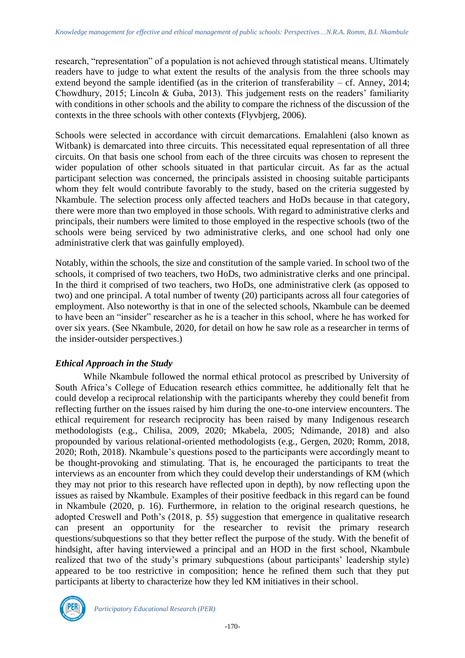research, "representation" of a population is not achieved through statistical means. Ultimately readers have to judge to what extent the results of the analysis from the three schools may extend beyond the sample identified (as in the criterion of transferability – cf. Anney, 2014; Chowdhury, 2015; Lincoln & Guba, 2013). This judgement rests on the readers' familiarity with conditions in other schools and the ability to compare the richness of the discussion of the contexts in the three schools with other contexts (Flyvbjerg, 2006).

Schools were selected in accordance with circuit demarcations. Emalahleni (also known as Witbank) is demarcated into three circuits. This necessitated equal representation of all three circuits. On that basis one school from each of the three circuits was chosen to represent the wider population of other schools situated in that particular circuit. As far as the actual participant selection was concerned, the principals assisted in choosing suitable participants whom they felt would contribute favorably to the study, based on the criteria suggested by Nkambule. The selection process only affected teachers and HoDs because in that category, there were more than two employed in those schools. With regard to administrative clerks and principals, their numbers were limited to those employed in the respective schools (two of the schools were being serviced by two administrative clerks, and one school had only one administrative clerk that was gainfully employed).

Notably, within the schools, the size and constitution of the sample varied. In school two of the schools, it comprised of two teachers, two HoDs, two administrative clerks and one principal. In the third it comprised of two teachers, two HoDs, one administrative clerk (as opposed to two) and one principal. A total number of twenty (20) participants across all four categories of employment. Also noteworthy is that in one of the selected schools, Nkambule can be deemed to have been an "insider" researcher as he is a teacher in this school, where he has worked for over six years. (See Nkambule, 2020, for detail on how he saw role as a researcher in terms of the insider-outsider perspectives.)

# *Ethical Approach in the Study*

While Nkambule followed the normal ethical protocol as prescribed by University of South Africa's College of Education research ethics committee, he additionally felt that he could develop a reciprocal relationship with the participants whereby they could benefit from reflecting further on the issues raised by him during the one-to-one interview encounters. The ethical requirement for research reciprocity has been raised by many Indigenous research methodologists (e.g., Chilisa, 2009, 2020; Mkabela, 2005; Ndimande, 2018) and also propounded by various relational-oriented methodologists (e.g., Gergen, 2020; Romm, 2018, 2020; Roth, 2018). Nkambule's questions posed to the participants were accordingly meant to be thought-provoking and stimulating. That is, he encouraged the participants to treat the interviews as an encounter from which they could develop their understandings of KM (which they may not prior to this research have reflected upon in depth), by now reflecting upon the issues as raised by Nkambule. Examples of their positive feedback in this regard can be found in Nkambule (2020, p. 16). Furthermore, in relation to the original research questions, he adopted Creswell and Poth's (2018, p. 55) suggestion that emergence in qualitative research can present an opportunity for the researcher to revisit the primary research questions/subquestions so that they better reflect the purpose of the study. With the benefit of hindsight, after having interviewed a principal and an HOD in the first school, Nkambule realized that two of the study's primary subquestions (about participants' leadership style) appeared to be too restrictive in composition; hence he refined them such that they put participants at liberty to characterize how they led KM initiatives in their school.

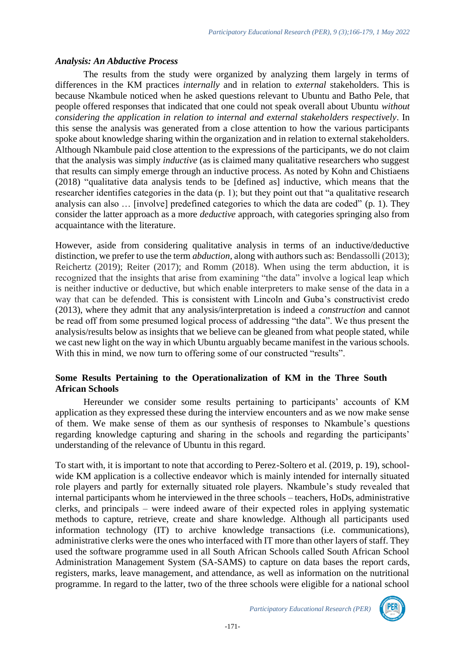### *Analysis: An Abductive Process*

The results from the study were organized by analyzing them largely in terms of differences in the KM practices *internally* and in relation to *external* stakeholders. This is because Nkambule noticed when he asked questions relevant to Ubuntu and Batho Pele, that people offered responses that indicated that one could not speak overall about Ubuntu *without considering the application in relation to internal and external stakeholders respectively*. In this sense the analysis was generated from a close attention to how the various participants spoke about knowledge sharing within the organization and in relation to external stakeholders. Although Nkambule paid close attention to the expressions of the participants, we do not claim that the analysis was simply *inductive* (as is claimed many qualitative researchers who suggest that results can simply emerge through an inductive process. As noted by Kohn and Chistiaens (2018) "qualitative data analysis tends to be [defined as] inductive, which means that the researcher identifies categories in the data (p. 1); but they point out that "a qualitative research analysis can also … [involve] predefined categories to which the data are coded" (p. 1). They consider the latter approach as a more *deductive* approach, with categories springing also from acquaintance with the literature.

However, aside from considering qualitative analysis in terms of an inductive/deductive distinction, we prefer to use the term *abduction*, along with authors such as: Bendassolli (2013); Reichertz (2019); Reiter (2017); and Romm (2018). When using the term abduction, it is recognized that the insights that arise from examining "the data" involve a logical leap which is neither inductive or deductive, but which enable interpreters to make sense of the data in a way that can be defended. This is consistent with Lincoln and Guba's constructivist credo (2013), where they admit that any analysis/interpretation is indeed a *construction* and cannot be read off from some presumed logical process of addressing "the data". We thus present the analysis/results below as insights that we believe can be gleaned from what people stated, while we cast new light on the way in which Ubuntu arguably became manifest in the various schools. With this in mind, we now turn to offering some of our constructed "results".

# **Some Results Pertaining to the Operationalization of KM in the Three South African Schools**

Hereunder we consider some results pertaining to participants' accounts of KM application as they expressed these during the interview encounters and as we now make sense of them. We make sense of them as our synthesis of responses to Nkambule's questions regarding knowledge capturing and sharing in the schools and regarding the participants' understanding of the relevance of Ubuntu in this regard.

To start with, it is important to note that according to Perez-Soltero et al. (2019, p. 19), schoolwide KM application is a collective endeavor which is mainly intended for internally situated role players and partly for externally situated role players. Nkambule's study revealed that internal participants whom he interviewed in the three schools – teachers, HoDs, administrative clerks, and principals – were indeed aware of their expected roles in applying systematic methods to capture, retrieve, create and share knowledge. Although all participants used information technology (IT) to archive knowledge transactions (i.e. communications), administrative clerks were the ones who interfaced with IT more than other layers of staff. They used the software programme used in all South African Schools called South African School Administration Management System (SA-SAMS) to capture on data bases the report cards, registers, marks, leave management, and attendance, as well as information on the nutritional programme. In regard to the latter, two of the three schools were eligible for a national school

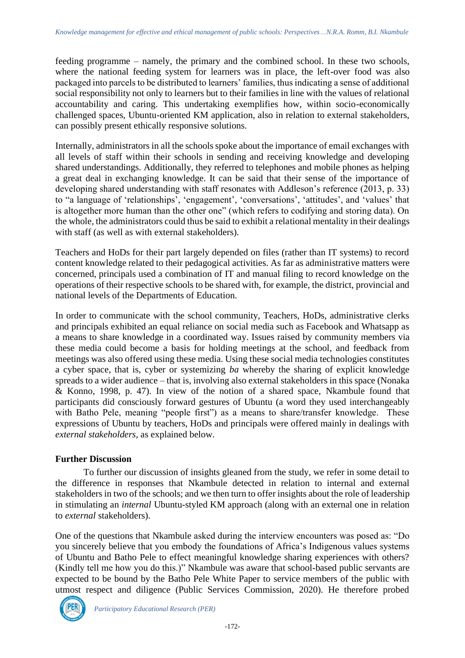feeding programme – namely, the primary and the combined school. In these two schools, where the national feeding system for learners was in place, the left-over food was also packaged into parcels to be distributed to learners' families, thus indicating a sense of additional social responsibility not only to learners but to their families in line with the values of relational accountability and caring. This undertaking exemplifies how, within socio-economically challenged spaces, Ubuntu-oriented KM application, also in relation to external stakeholders, can possibly present ethically responsive solutions.

Internally, administrators in all the schools spoke about the importance of email exchanges with all levels of staff within their schools in sending and receiving knowledge and developing shared understandings. Additionally, they referred to telephones and mobile phones as helping a great deal in exchanging knowledge. It can be said that their sense of the importance of developing shared understanding with staff resonates with Addleson's reference (2013, p. 33) to "a language of 'relationships', 'engagement', 'conversations', 'attitudes', and 'values' that is altogether more human than the other one" (which refers to codifying and storing data). On the whole, the administrators could thus be said to exhibit a relational mentality in their dealings with staff (as well as with external stakeholders).

Teachers and HoDs for their part largely depended on files (rather than IT systems) to record content knowledge related to their pedagogical activities. As far as administrative matters were concerned, principals used a combination of IT and manual filing to record knowledge on the operations of their respective schools to be shared with, for example, the district, provincial and national levels of the Departments of Education.

In order to communicate with the school community, Teachers, HoDs, administrative clerks and principals exhibited an equal reliance on social media such as Facebook and Whatsapp as a means to share knowledge in a coordinated way. Issues raised by community members via these media could become a basis for holding meetings at the school, and feedback from meetings was also offered using these media. Using these social media technologies constitutes a cyber space, that is, cyber or systemizing *ba* whereby the sharing of explicit knowledge spreads to a wider audience – that is, involving also external stakeholders in this space (Nonaka & Konno, 1998, p. 47). In view of the notion of a shared space, Nkambule found that participants did consciously forward gestures of Ubuntu (a word they used interchangeably with Batho Pele, meaning "people first") as a means to share/transfer knowledge. These expressions of Ubuntu by teachers, HoDs and principals were offered mainly in dealings with *external stakeholders*, as explained below.

# **Further Discussion**

To further our discussion of insights gleaned from the study, we refer in some detail to the difference in responses that Nkambule detected in relation to internal and external stakeholders in two of the schools; and we then turn to offer insights about the role of leadership in stimulating an *internal* Ubuntu-styled KM approach (along with an external one in relation to *external* stakeholders).

One of the questions that Nkambule asked during the interview encounters was posed as: "Do you sincerely believe that you embody the foundations of Africa's Indigenous values systems of Ubuntu and Batho Pele to effect meaningful knowledge sharing experiences with others? (Kindly tell me how you do this.)" Nkambule was aware that school-based public servants are expected to be bound by the Batho Pele White Paper to service members of the public with utmost respect and diligence (Public Services Commission, 2020). He therefore probed

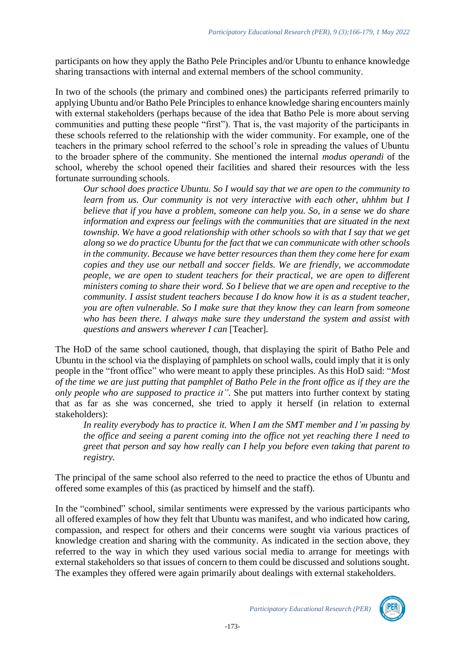participants on how they apply the Batho Pele Principles and/or Ubuntu to enhance knowledge sharing transactions with internal and external members of the school community.

In two of the schools (the primary and combined ones) the participants referred primarily to applying Ubuntu and/or Batho Pele Principles to enhance knowledge sharing encounters mainly with external stakeholders (perhaps because of the idea that Batho Pele is more about serving communities and putting these people "first"). That is, the vast majority of the participants in these schools referred to the relationship with the wider community. For example, one of the teachers in the primary school referred to the school's role in spreading the values of Ubuntu to the broader sphere of the community. She mentioned the internal *modus operandi* of the school, whereby the school opened their facilities and shared their resources with the less fortunate surrounding schools.

*Our school does practice Ubuntu. So I would say that we are open to the community to learn from us. Our community is not very interactive with each other, uhhhm but I believe that if you have a problem, someone can help you. So, in a sense we do share information and express our feelings with the communities that are situated in the next township. We have a good relationship with other schools so with that I say that we get along so we do practice Ubuntu for the fact that we can communicate with other schools in the community. Because we have better resources than them they come here for exam copies and they use our netball and soccer fields. We are friendly, we accommodate people, we are open to student teachers for their practical, we are open to different ministers coming to share their word. So I believe that we are open and receptive to the community. I assist student teachers because I do know how it is as a student teacher, you are often vulnerable. So I make sure that they know they can learn from someone who has been there. I always make sure they understand the system and assist with questions and answers wherever I can* [Teacher]*.* 

The HoD of the same school cautioned, though, that displaying the spirit of Batho Pele and Ubuntu in the school via the displaying of pamphlets on school walls, could imply that it is only people in the "front office" who were meant to apply these principles. As this HoD said: "*Most* of the time we are just putting that pamphlet of Batho Pele in the front office as if they are the *only people who are supposed to practice it"*. She put matters into further context by stating that as far as she was concerned, she tried to apply it herself (in relation to external stakeholders):

*In reality everybody has to practice it. When I am the SMT member and I'm passing by the office and seeing a parent coming into the office not yet reaching there I need to greet that person and say how really can I help you before even taking that parent to registry.*

The principal of the same school also referred to the need to practice the ethos of Ubuntu and offered some examples of this (as practiced by himself and the staff).

In the "combined" school, similar sentiments were expressed by the various participants who all offered examples of how they felt that Ubuntu was manifest, and who indicated how caring, compassion, and respect for others and their concerns were sought via various practices of knowledge creation and sharing with the community. As indicated in the section above, they referred to the way in which they used various social media to arrange for meetings with external stakeholders so that issues of concern to them could be discussed and solutions sought. The examples they offered were again primarily about dealings with external stakeholders.

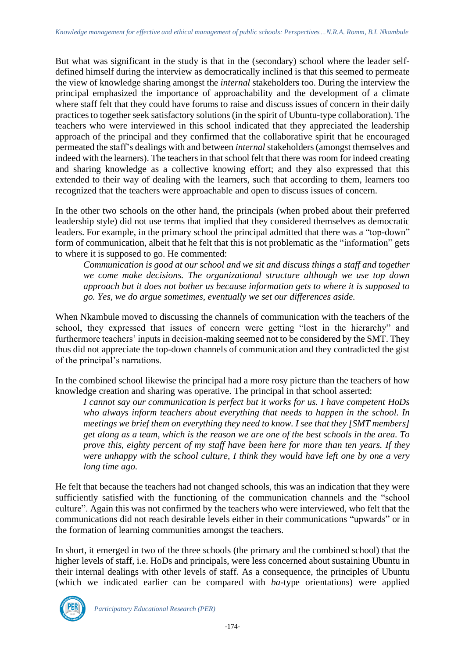But what was significant in the study is that in the (secondary) school where the leader selfdefined himself during the interview as democratically inclined is that this seemed to permeate the view of knowledge sharing amongst the *internal* stakeholders too. During the interview the principal emphasized the importance of approachability and the development of a climate where staff felt that they could have forums to raise and discuss issues of concern in their daily practices to together seek satisfactory solutions (in the spirit of Ubuntu-type collaboration). The teachers who were interviewed in this school indicated that they appreciated the leadership approach of the principal and they confirmed that the collaborative spirit that he encouraged permeated the staff's dealings with and between *internal* stakeholders (amongst themselves and indeed with the learners). The teachers in that school felt that there was room for indeed creating and sharing knowledge as a collective knowing effort; and they also expressed that this extended to their way of dealing with the learners, such that according to them, learners too recognized that the teachers were approachable and open to discuss issues of concern.

In the other two schools on the other hand, the principals (when probed about their preferred leadership style) did not use terms that implied that they considered themselves as democratic leaders. For example, in the primary school the principal admitted that there was a "top-down" form of communication, albeit that he felt that this is not problematic as the "information" gets to where it is supposed to go. He commented:

*Communication is good at our school and we sit and discuss things a staff and together we come make decisions. The organizational structure although we use top down approach but it does not bother us because information gets to where it is supposed to go. Yes, we do argue sometimes, eventually we set our differences aside.*

When Nkambule moved to discussing the channels of communication with the teachers of the school, they expressed that issues of concern were getting "lost in the hierarchy" and furthermore teachers' inputs in decision-making seemed not to be considered by the SMT. They thus did not appreciate the top-down channels of communication and they contradicted the gist of the principal's narrations.

In the combined school likewise the principal had a more rosy picture than the teachers of how knowledge creation and sharing was operative. The principal in that school asserted:

*I cannot say our communication is perfect but it works for us. I have competent HoDs who always inform teachers about everything that needs to happen in the school. In meetings we brief them on everything they need to know. I see that they [SMT members]* get along as a team, which is the reason we are one of the best schools in the area. To *prove this, eighty percent of my staff have been here for more than ten years. If they were unhappy with the school culture, I think they would have left one by one a very long time ago.*

He felt that because the teachers had not changed schools, this was an indication that they were sufficiently satisfied with the functioning of the communication channels and the "school culture". Again this was not confirmed by the teachers who were interviewed, who felt that the communications did not reach desirable levels either in their communications "upwards" or in the formation of learning communities amongst the teachers.

In short, it emerged in two of the three schools (the primary and the combined school) that the higher levels of staff, i.e. HoDs and principals, were less concerned about sustaining Ubuntu in their internal dealings with other levels of staff. As a consequence, the principles of Ubuntu (which we indicated earlier can be compared with *ba*-type orientations) were applied

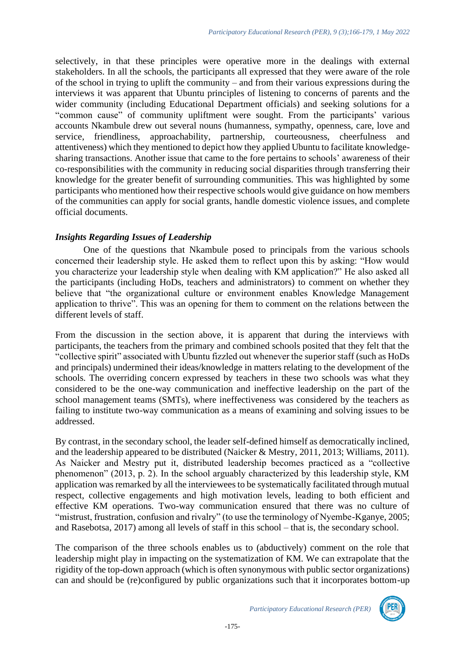selectively, in that these principles were operative more in the dealings with external stakeholders. In all the schools, the participants all expressed that they were aware of the role of the school in trying to uplift the community – and from their various expressions during the interviews it was apparent that Ubuntu principles of listening to concerns of parents and the wider community (including Educational Department officials) and seeking solutions for a "common cause" of community upliftment were sought. From the participants' various accounts Nkambule drew out several nouns (humanness, sympathy, openness, care, love and service, friendliness, approachability, partnership, courteousness, cheerfulness and attentiveness) which they mentioned to depict how they applied Ubuntu to facilitate knowledgesharing transactions. Another issue that came to the fore pertains to schools' awareness of their co-responsibilities with the community in reducing social disparities through transferring their knowledge for the greater benefit of surrounding communities. This was highlighted by some participants who mentioned how their respective schools would give guidance on how members of the communities can apply for social grants, handle domestic violence issues, and complete official documents.

### *Insights Regarding Issues of Leadership*

One of the questions that Nkambule posed to principals from the various schools concerned their leadership style. He asked them to reflect upon this by asking: "How would you characterize your leadership style when dealing with KM application?" He also asked all the participants (including HoDs, teachers and administrators) to comment on whether they believe that "the organizational culture or environment enables Knowledge Management application to thrive". This was an opening for them to comment on the relations between the different levels of staff.

From the discussion in the section above, it is apparent that during the interviews with participants, the teachers from the primary and combined schools posited that they felt that the "collective spirit" associated with Ubuntu fizzled out whenever the superior staff (such as HoDs and principals) undermined their ideas/knowledge in matters relating to the development of the schools. The overriding concern expressed by teachers in these two schools was what they considered to be the one-way communication and ineffective leadership on the part of the school management teams (SMTs), where ineffectiveness was considered by the teachers as failing to institute two-way communication as a means of examining and solving issues to be addressed.

By contrast, in the secondary school, the leader self-defined himself as democratically inclined, and the leadership appeared to be distributed (Naicker & Mestry, 2011, 2013; Williams, 2011). As Naicker and Mestry put it, distributed leadership becomes practiced as a "collective phenomenon" (2013, p. 2). In the school arguably characterized by this leadership style, KM application was remarked by all the interviewees to be systematically facilitated through mutual respect, collective engagements and high motivation levels, leading to both efficient and effective KM operations. Two-way communication ensured that there was no culture of "mistrust, frustration, confusion and rivalry" (to use the terminology of Nyembe-Kganye, 2005; and Rasebotsa, 2017) among all levels of staff in this school – that is, the secondary school.

The comparison of the three schools enables us to (abductively) comment on the role that leadership might play in impacting on the systematization of KM. We can extrapolate that the rigidity of the top-down approach (which is often synonymous with public sector organizations) can and should be (re)configured by public organizations such that it incorporates bottom-up

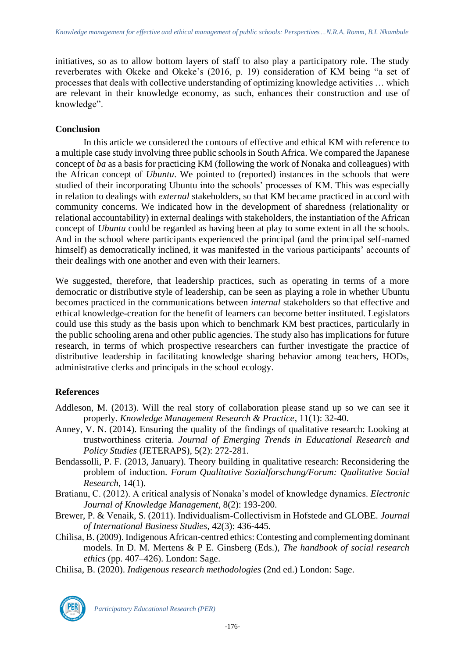initiatives, so as to allow bottom layers of staff to also play a participatory role. The study reverberates with Okeke and Okeke's (2016, p. 19) consideration of KM being "a set of processes that deals with collective understanding of optimizing knowledge activities … which are relevant in their knowledge economy, as such, enhances their construction and use of knowledge".

### **Conclusion**

In this article we considered the contours of effective and ethical KM with reference to a multiple case study involving three public schools in South Africa. We compared the Japanese concept of *ba* as a basis for practicing KM (following the work of Nonaka and colleagues) with the African concept of *Ubuntu*. We pointed to (reported) instances in the schools that were studied of their incorporating Ubuntu into the schools' processes of KM. This was especially in relation to dealings with *external* stakeholders, so that KM became practiced in accord with community concerns. We indicated how in the development of sharedness (relationality or relational accountability) in external dealings with stakeholders, the instantiation of the African concept of *Ubuntu* could be regarded as having been at play to some extent in all the schools. And in the school where participants experienced the principal (and the principal self-named himself) as democratically inclined, it was manifested in the various participants' accounts of their dealings with one another and even with their learners.

We suggested, therefore, that leadership practices, such as operating in terms of a more democratic or distributive style of leadership, can be seen as playing a role in whether Ubuntu becomes practiced in the communications between *internal* stakeholders so that effective and ethical knowledge-creation for the benefit of learners can become better instituted. Legislators could use this study as the basis upon which to benchmark KM best practices, particularly in the public schooling arena and other public agencies. The study also has implications for future research, in terms of which prospective researchers can further investigate the practice of distributive leadership in facilitating knowledge sharing behavior among teachers, HODs, administrative clerks and principals in the school ecology.

# **References**

- Addleson, M. (2013). Will the real story of collaboration please stand up so we can see it properly. *Knowledge Management Research & Practice*, 11(1): 32-40.
- Anney, V. N. (2014). Ensuring the quality of the findings of qualitative research: Looking at trustworthiness criteria. *Journal of Emerging Trends in Educational Research and Policy Studies* (JETERAPS), 5(2): 272-281.
- Bendassolli, P. F. (2013, January). Theory building in qualitative research: Reconsidering the problem of induction. *Forum Qualitative Sozialforschung/Forum: Qualitative Social Research*, 14(1).
- Bratianu, C. (2012). A critical analysis of Nonaka's model of knowledge dynamics. *Electronic Journal of Knowledge Management*, 8(2): 193-200.
- Brewer, P. & Venaik, S. (2011). Individualism-Collectivism in Hofstede and GLOBE*. Journal of International Business Studies*, 42(3): 436-445.
- Chilisa, B. (2009). Indigenous African-centred ethics: Contesting and complementing dominant models. In D. M. Mertens & P E. Ginsberg (Eds.), *The handbook of social research ethics* (pp. 407–426). London: Sage.

Chilisa, B. (2020). *Indigenous research methodologies* (2nd ed.) London: Sage.

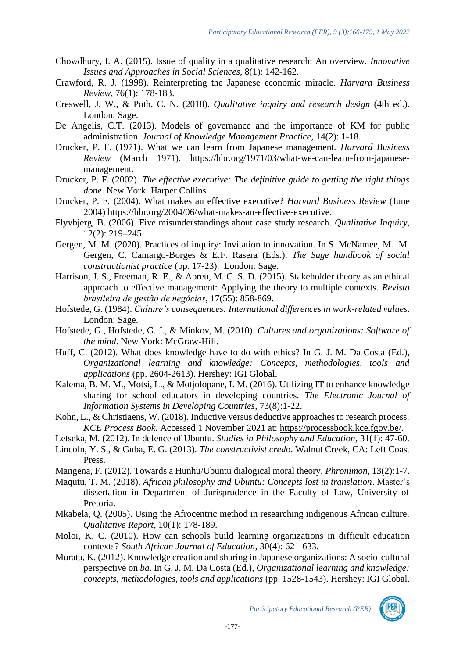- Chowdhury, I. A. (2015). Issue of quality in a qualitative research: An overview. *Innovative Issues and Approaches in Social Sciences*, 8(1): 142-162.
- Crawford, R. J. (1998). Reinterpreting the Japanese economic miracle. *Harvard Business Review*, 76(1): 178-183.
- Creswell, J. W., & Poth, C. N. (2018). *Qualitative inquiry and research design* (4th ed.). London: Sage.
- De Angelis, C.T. (2013). Models of governance and the importance of KM for public administration. *Journal of Knowledge Management Practice*, 14(2): 1-18.
- Drucker, P. F. (1971). What we can learn from Japanese management. *Harvard Business Review* (March 1971). [https://hbr.org/1971/03/what-we-can-learn-from-japanese](https://hbr.org/1971/03/what-we-can-learn-from-japanese-management)[management.](https://hbr.org/1971/03/what-we-can-learn-from-japanese-management)
- Drucker, P. F. (2002). *The effective executive: The definitive guide to getting the right things done*. New York: Harper Collins.
- Drucker, P. F. (2004). What makes an effective executive? *Harvard Business Review* (June 2004) [https://hbr.org/2004/06/what-makes-an-effective-executive.](https://hbr.org/2004/06/what-makes-an-effective-executive)
- Flyvbjerg, B. (2006). Five misunderstandings about case study research. *Qualitative Inquiry*, 12(2): 219–245.
- Gergen, M. M. (2020). Practices of inquiry: Invitation to innovation. In S. McNamee, M. M. Gergen, C. Camargo-Borges & E.F. Rasera (Eds.), *The Sage handbook of social constructionist practice* (pp. 17-23). London: Sage.
- Harrison, J. S., Freeman, R. E., & Abreu, M. C. S. D. (2015). Stakeholder theory as an ethical approach to effective management: Applying the theory to multiple contexts. *Revista brasileira de gestão de negócios*, 17(55): 858-869.
- Hofstede, G. (1984). *Culture's consequences: International differences in work-related values*. London: Sage.
- Hofstede, G., Hofstede, G. J., & Minkov, M. (2010). *Cultures and organizations: Software of the mind*. New York: McGraw-Hill.
- Huff, C. (2012). What does knowledge have to do with ethics? In G. J. M. Da Costa (Ed.), *Organizational learning and knowledge: Concepts, methodologies, tools and applications* (pp. 2604-2613). Hershey: IGI Global.
- Kalema, B. M. M., Motsi, L., & Motjolopane, I. M. (2016). Utilizing IT to enhance knowledge sharing for school educators in developing countries. *The Electronic Journal of Information Systems in Developing Countries*, 73(8):1-22.
- Kohn, L., & Christiaens, W. (2018). Inductive versus deductive approaches to research process. *KCE Process Book.* Accessed 1 November 2021 at: [https://processbook.kce.fgov.be/.](https://processbook.kce.fgov.be/)
- Letseka, M. (2012). In defence of Ubuntu. *Studies in Philosophy and Education*, 31(1): 47-60.
- Lincoln, Y. S., & Guba, E. G. (2013). *The constructivist cred*o. Walnut Creek, CA: Left Coast Press.
- Mangena, F. (2012). Towards a Hunhu/Ubuntu dialogical moral theory. *Phronimon,* 13(2):1-7.
- Maqutu, T. M. (2018). *African philosophy and Ubuntu: Concepts lost in translation*. Master's dissertation in Department of Jurisprudence in the Faculty of Law, University of Pretoria.
- Mkabela, Q. (2005). Using the Afrocentric method in researching indigenous African culture. *Qualitative Report*, 10(1): 178-189.
- Moloi, K. C. (2010). How can schools build learning organizations in difficult education contexts? *South African Journal of Education*, 30(4): 621-633.
- Murata, K. (2012). Knowledge creation and sharing in Japanese organizations: A socio-cultural perspective on *ba*. In G. J. M. Da Costa (Ed.), *Organizational learning and knowledge: concepts, methodologies, tools and applications* (pp. 1528-1543). Hershey: IGI Global.

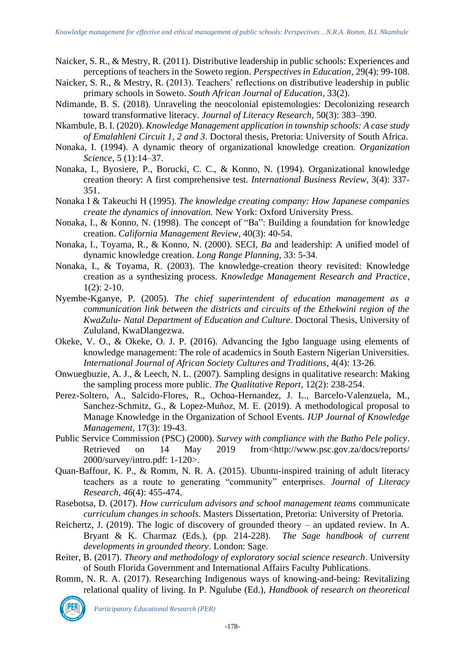- Naicker, S. R., & Mestry, R. (2011). Distributive leadership in public schools: Experiences and perceptions of teachers in the Soweto region. *Perspectives in Education*, 29(4): 99-108.
- Naicker, S. R., & Mestry, R. (2013). Teachers' reflections on distributive leadership in public primary schools in Soweto. *South African Journal of Education*, 33(2).
- Ndimande, B. S. (2018). Unraveling the neocolonial epistemologies: Decolonizing research toward transformative literacy. *Journal of Literacy Research*, 50(3): 383–390.
- Nkambule, B. I. (2020). *Knowledge Management application in township schools: A case study of Emalahleni Circuit 1, 2 and 3*. Doctoral thesis, Pretoria: University of South Africa.
- Nonaka, I. (1994). A dynamic theory of organizational knowledge creation. *Organization Science*, 5 (1):14–37.
- Nonaka, I., Byosiere, P., Borucki, C. C., & Konno, N. (1994). Organizational knowledge creation theory: A first comprehensive test. *International Business Review*, 3(4): 337- 351.
- Nonaka I & Takeuchi H (1995). *The knowledge creating company: How Japanese companies create the dynamics of innovation.* New York: Oxford University Press.
- Nonaka, I., & Konno, N. (1998). The concept of "Ba": Building a foundation for knowledge creation. *California Management Review*, 40(3): 40-54.
- Nonaka, I., Toyama, R., & Konno, N. (2000). SECI, *Ba* and leadership: A unified model of dynamic knowledge creation. *Long Range Planning*, 33: 5-34.
- Nonaka, I., & Toyama, R. (2003). The knowledge-creation theory revisited: Knowledge creation as a synthesizing process. *Knowledge Management Research and Practice*,  $1(2)$ : 2-10.
- Nyembe-Kganye, P. (2005). *The chief superintendent of education management as a communication link between the districts and circuits of the Ethekwini region of the KwaZulu- Natal Department of Education and Culture*. Doctoral Thesis, University of Zululand, KwaDlangezwa.
- Okeke, V. O., & Okeke, O. J. P. (2016). Advancing the Igbo language using elements of knowledge management: The role of academics in South Eastern Nigerian Universities. *International Journal of African Society Cultures and Traditions*, 4(4): 13-26.
- Onwuegbuzie, A. J., & Leech, N. L. (2007). Sampling designs in qualitative research: Making the sampling process more public. *The Qualitative Report*, 12(2): 238-254.
- Perez-Soltero, A., Salcido-Flores, R., Ochoa-Hernandez, J. L., Barcelo-Valenzuela, M., Sanchez-Schmitz, G., & Lopez-Muñoz, M. E. (2019). A methodological proposal to Manage Knowledge in the Organization of School Events. *IUP Journal of Knowledge Management,* 17(3): 19-43.
- Public Service Commission (PSC) (2000). *Survey with compliance with the Batho Pele policy*. Retrieved on 14 May 2019 from[<http://www.psc.gov.za/docs/reports/](http://www.psc.gov.za/docs/reports/) 2000/survey/intro.pdf: 1-120>.
- Quan-Baffour, K. P., & Romm, N. R. A. (2015). Ubuntu-inspired training of adult literacy teachers as a route to generating "community" enterprises. *Journal of Literacy Research*, *46*(4): 455-474.
- Rasebotsa, D. (2017). *How curriculum advisors and school management teams* communicate *curriculum changes in schools*. Masters Dissertation, Pretoria: University of Pretoria.
- Reichertz, J. (2019). The logic of discovery of grounded theory an updated review. In A. Bryant & K. Charmaz (Eds.), (pp. 214-228). *[The Sage handbook of current](https://methods.sagepub.com/Book/the-sage-handbook-of-grounded-theory-2e)  [developments in grounded theory](https://methods.sagepub.com/Book/the-sage-handbook-of-grounded-theory-2e)*. London: Sage.
- Reiter, B. (2017). *Theory and methodology of exploratory social science research*. University of South Florida Government and International Affairs Faculty Publications.
- Romm, N. R. A. (2017). Researching Indigenous ways of knowing-and-being: Revitalizing relational quality of living. In P. Ngulube (Ed.), *Handbook of research on theoretical*